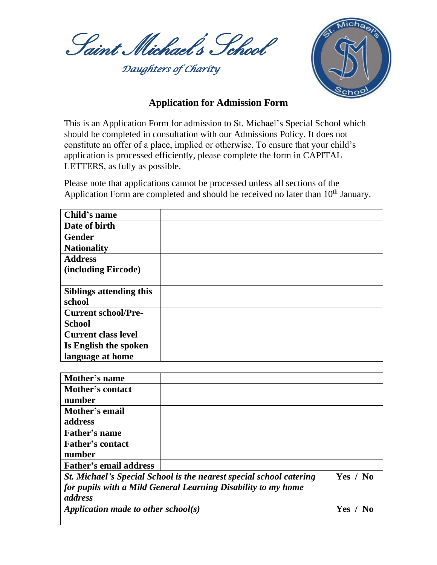Saint Michael's School

 *Daughters of Charity* 



## **Application for Admission Form**

This is an Application Form for admission to St. Michael's Special School which should be completed in consultation with our Admissions Policy. It does not constitute an offer of a place, implied or otherwise. To ensure that your child's application is processed efficiently, please complete the form in CAPITAL LETTERS, as fully as possible.

Please note that applications cannot be processed unless all sections of the Application Form are completed and should be received no later than 10<sup>th</sup> January.

| Child's name               |  |
|----------------------------|--|
| Date of birth              |  |
| <b>Gender</b>              |  |
| <b>Nationality</b>         |  |
| <b>Address</b>             |  |
| (including Eircode)        |  |
|                            |  |
| Siblings attending this    |  |
| school                     |  |
| <b>Current school/Pre-</b> |  |
| <b>School</b>              |  |
| <b>Current class level</b> |  |
| Is English the spoken      |  |
| language at home           |  |

| Mother's name                       |                                                                     |          |
|-------------------------------------|---------------------------------------------------------------------|----------|
| <b>Mother's contact</b>             |                                                                     |          |
| number                              |                                                                     |          |
| Mother's email                      |                                                                     |          |
| address                             |                                                                     |          |
| Father's name                       |                                                                     |          |
| <b>Father's contact</b>             |                                                                     |          |
| number                              |                                                                     |          |
| <b>Father's email address</b>       |                                                                     |          |
|                                     | St. Michael's Special School is the nearest special school catering | Yes / No |
|                                     | for pupils with a Mild General Learning Disability to my home       |          |
| address                             |                                                                     |          |
| Application made to other school(s) |                                                                     | Yes / No |
|                                     |                                                                     |          |